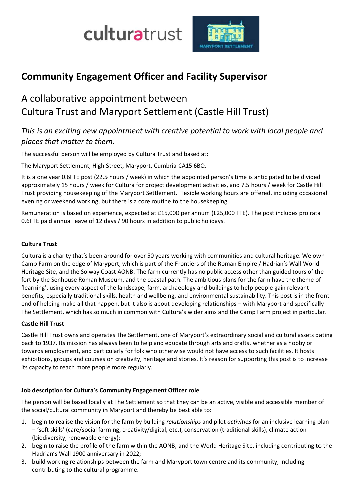culturatrust



# **Community Engagement Officer and Facility Supervisor**

# A collaborative appointment between Cultura Trust and Maryport Settlement (Castle Hill Trust)

# *This is an exciting new appointment with creative potential to work with local people and places that matter to them.*

The successful person will be employed by Cultura Trust and based at:

The Maryport Settlement, High Street, Maryport, Cumbria CA15 6BQ.

It is a one year 0.6FTE post (22.5 hours / week) in which the appointed person's time is anticipated to be divided approximately 15 hours / week for Cultura for project development activities, and 7.5 hours / week for Castle Hill Trust providing housekeeping of the Maryport Settlement. Flexible working hours are offered, including occasional evening or weekend working, but there is a core routine to the housekeeping.

Remuneration is based on experience, expected at £15,000 per annum (£25,000 FTE). The post includes pro rata 0.6FTE paid annual leave of 12 days / 90 hours in addition to public holidays.

# **Cultura Trust**

Cultura is a charity that's been around for over 50 years working with communities and cultural heritage. We own Camp Farm on the edge of Maryport, which is part of the Frontiers of the Roman Empire / Hadrian's Wall World Heritage Site, and the Solway Coast AONB. The farm currently has no public access other than guided tours of the fort by the Senhouse Roman Museum, and the coastal path. The ambitious plans for the farm have the theme of 'learning', using every aspect of the landscape, farm, archaeology and buildings to help people gain relevant benefits, especially traditional skills, health and wellbeing, and environmental sustainability. This post is in the front end of helping make all that happen, but it also is about developing relationships – with Maryport and specifically The Settlement, which has so much in common with Cultura's wider aims and the Camp Farm project in particular.

#### **Castle Hill Trust**

Castle Hill Trust owns and operates The Settlement, one of Maryport's extraordinary social and cultural assets dating back to 1937. Its mission has always been to help and educate through arts and crafts, whether as a hobby or towards employment, and particularly for folk who otherwise would not have access to such facilities. It hosts exhibitions, groups and courses on creativity, heritage and stories. It's reason for supporting this post is to increase its capacity to reach more people more regularly.

# **Job description for Cultura's Community Engagement Officer role**

The person will be based locally at The Settlement so that they can be an active, visible and accessible member of the social/cultural community in Maryport and thereby be best able to:

- 1. begin to realise the vision for the farm by building *relationships* and pilot *activities* for an inclusive learning plan – 'soft skills' (care/social farming, creativity/digital, etc.), conservation (traditional skills), climate action (biodiversity, renewable energy);
- 2. begin to raise the profile of the farm within the AONB, and the World Heritage Site, including contributing to the Hadrian's Wall 1900 anniversary in 2022;
- 3. build working relationships between the farm and Maryport town centre and its community, including contributing to the cultural programme.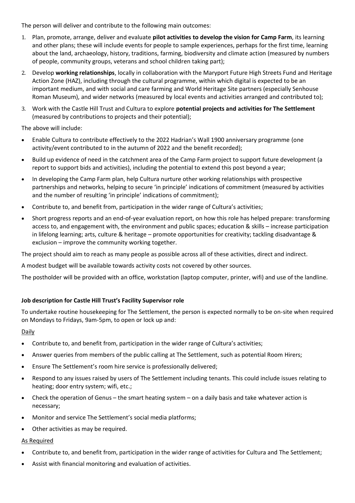The person will deliver and contribute to the following main outcomes:

- 1. Plan, promote, arrange, deliver and evaluate **pilot activities to develop the vision for Camp Farm**, its learning and other plans; these will include events for people to sample experiences, perhaps for the first time, learning about the land, archaeology, history, traditions, farming, biodiversity and climate action (measured by numbers of people, community groups, veterans and school children taking part);
- 2. Develop **working relationships**, locally in collaboration with the Maryport Future High Streets Fund and Heritage Action Zone (HAZ), including through the cultural programme, within which digital is expected to be an important medium, and with social and care farming and World Heritage Site partners (especially Senhouse Roman Museum), and wider networks (measured by local events and activities arranged and contributed to);
- 3. Work with the Castle Hill Trust and Cultura to explore **potential projects and activities for The Settlement** (measured by contributions to projects and their potential);

The above will include:

- Enable Cultura to contribute effectively to the 2022 Hadrian's Wall 1900 anniversary programme (one activity/event contributed to in the autumn of 2022 and the benefit recorded);
- Build up evidence of need in the catchment area of the Camp Farm project to support future development (a report to support bids and activities), including the potential to extend this post beyond a year;
- In developing the Camp Farm plan, help Cultura nurture other working relationships with prospective partnerships and networks, helping to secure 'in principle' indications of commitment (measured by activities and the number of resulting 'in principle' indications of commitment);
- Contribute to, and benefit from, participation in the wider range of Cultura's activities;
- Short progress reports and an end-of-year evaluation report, on how this role has helped prepare: transforming access to, and engagement with, the environment and public spaces; education & skills – increase participation in lifelong learning; arts, culture & heritage – promote opportunities for creativity; tackling disadvantage & exclusion – improve the community working together.

The project should aim to reach as many people as possible across all of these activities, direct and indirect.

A modest budget will be available towards activity costs not covered by other sources.

The postholder will be provided with an office, workstation (laptop computer, printer, wifi) and use of the landline.

#### **Job description for Castle Hill Trust's Facility Supervisor role**

To undertake routine housekeeping for The Settlement, the person is expected normally to be on-site when required on Mondays to Fridays, 9am-5pm, to open or lock up and:

#### Daily

- Contribute to, and benefit from, participation in the wider range of Cultura's activities;
- Answer queries from members of the public calling at The Settlement, such as potential Room Hirers;
- Ensure The Settlement's room hire service is professionally delivered;
- Respond to any issues raised by users of The Settlement including tenants. This could include issues relating to heating; door entry system; wifi, etc.;
- Check the operation of Genus the smart heating system on a daily basis and take whatever action is necessary;
- Monitor and service The Settlement's social media platforms;
- Other activities as may be required.

#### As Required

- Contribute to, and benefit from, participation in the wider range of activities for Cultura and The Settlement;
- Assist with financial monitoring and evaluation of activities.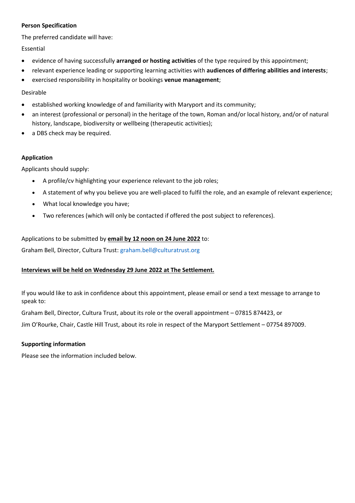#### **Person Specification**

The preferred candidate will have:

#### Essential

- evidence of having successfully **arranged or hosting activities** of the type required by this appointment;
- relevant experience leading or supporting learning activities with **audiences of differing abilities and interests**;
- exercised responsibility in hospitality or bookings **venue management**;

#### Desirable

- established working knowledge of and familiarity with Maryport and its community;
- an interest (professional or personal) in the heritage of the town, Roman and/or local history, and/or of natural history, landscape, biodiversity or wellbeing (therapeutic activities);
- a DBS check may be required.

#### **Application**

Applicants should supply:

- A profile/cv highlighting your experience relevant to the job roles;
- A statement of why you believe you are well-placed to fulfil the role, and an example of relevant experience;
- What local knowledge you have;
- Two references (which will only be contacted if offered the post subject to references).

### Applications to be submitted by **email by 12 noon on 24 June 2022** to:

Graham Bell, Director, Cultura Trust: graham.bell@culturatrust.org

### **Interviews will be held on Wednesday 29 June 2022 at The Settlement.**

If you would like to ask in confidence about this appointment, please email or send a text message to arrange to speak to:

Graham Bell, Director, Cultura Trust, about its role or the overall appointment – 07815 874423, or

Jim O'Rourke, Chair, Castle Hill Trust, about its role in respect of the Maryport Settlement – 07754 897009.

#### **Supporting information**

Please see the information included below.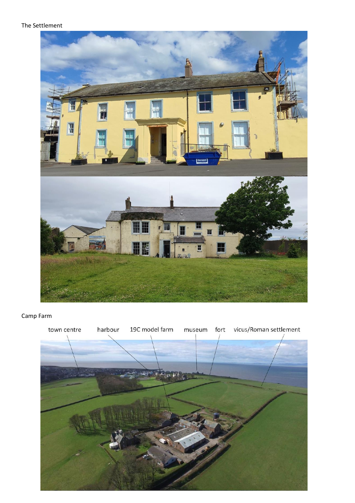#### The Settlement



# Camp Farm